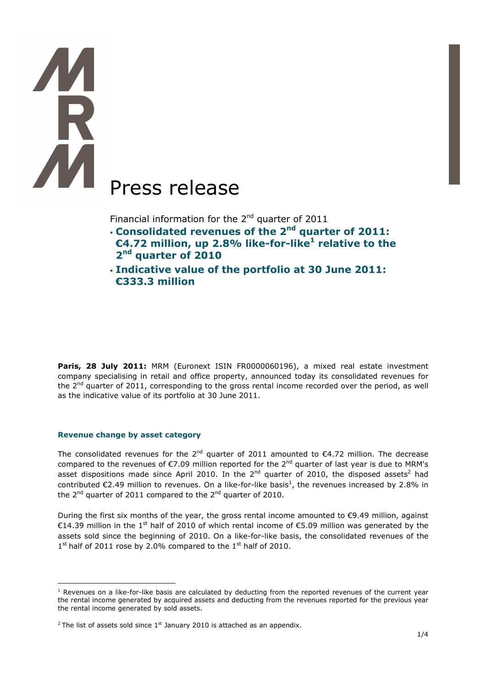# I ı Press release

Financial information for the  $2^{nd}$  quarter of 2011

- **Consolidated revenues of the 2nd quarter of 2011: €4.72 million, up 2.8% like-for-like<sup>1</sup> relative to the 2 nd quarter of 2010**
- **Indicative value of the portfolio at 30 June 2011: €333.3 million**

Paris, 28 July 2011: MRM (Euronext ISIN FR0000060196), a mixed real estate investment company specialising in retail and office property, announced today its consolidated revenues for the  $2^{nd}$  quarter of 2011, corresponding to the gross rental income recorded over the period, as well as the indicative value of its portfolio at 30 June 2011.

# **Revenue change by asset category**

The consolidated revenues for the 2<sup>nd</sup> quarter of 2011 amounted to  $\epsilon$ 4.72 million. The decrease compared to the revenues of  $\epsilon$ 7.09 million reported for the 2<sup>nd</sup> quarter of last year is due to MRM's asset dispositions made since April 2010. In the 2<sup>nd</sup> quarter of 2010, the disposed assets<sup>2</sup> had contributed  $\epsilon$ 2.49 million to revenues. On a like-for-like basis<sup>1</sup>, the revenues increased by 2.8% in the  $2^{nd}$  quarter of 2011 compared to the  $2^{nd}$  quarter of 2010.

During the first six months of the year, the gross rental income amounted to  $\epsilon$ 9.49 million, against €14.39 million in the 1<sup>st</sup> half of 2010 of which rental income of €5.09 million was generated by the assets sold since the beginning of 2010. On a like-for-like basis, the consolidated revenues of the  $1<sup>st</sup>$  half of 2011 rose by 2.0% compared to the  $1<sup>st</sup>$  half of 2010.

 $\overline{a}$ <sup>1</sup> Revenues on a like-for-like basis are calculated by deducting from the reported revenues of the current year the rental income generated by acquired assets and deducting from the revenues reported for the previous year the rental income generated by sold assets.

<sup>&</sup>lt;sup>2</sup> The list of assets sold since  $1<sup>st</sup>$  January 2010 is attached as an appendix.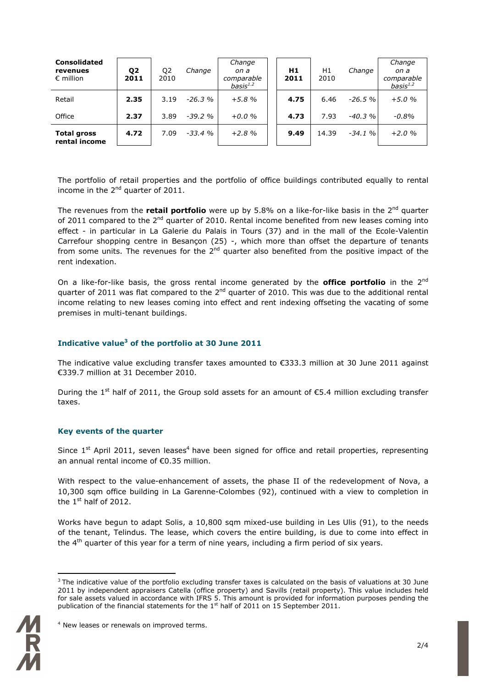| <b>Consolidated</b><br>revenues<br>$\epsilon$ million | Q <sub>2</sub><br>2011 | Q <sub>2</sub><br>2010 | Change   | Change<br>on a<br>comparable<br>$basis^{1.2}$ | H1<br>2011 | H1<br>2010 | Change   | Change<br>on a<br>comparable<br>$basis^{1.2}$ |
|-------------------------------------------------------|------------------------|------------------------|----------|-----------------------------------------------|------------|------------|----------|-----------------------------------------------|
| Retail                                                | 2.35                   | 3.19                   | $-26.3%$ | $+5.8%$                                       | 4.75       | 6.46       | $-26.5%$ | $+5.0%$                                       |
| Office                                                | 2.37                   | 3.89                   | $-39.2%$ | $+0.0%$                                       | 4.73       | 7.93       | $-40.3%$ | $-0.8\%$                                      |
| <b>Total gross</b><br>rental income                   | 4.72                   | 7.09                   | $-33.4%$ | $+2.8%$                                       | 9.49       | 14.39      | $-34.1%$ | $+2.0%$                                       |

The portfolio of retail properties and the portfolio of office buildings contributed equally to rental income in the  $2^{nd}$  quarter of 2011.

The revenues from the **retail portfolio** were up by 5.8% on a like-for-like basis in the 2nd quarter of 2011 compared to the  $2<sup>nd</sup>$  quarter of 2010. Rental income benefited from new leases coming into effect - in particular in La Galerie du Palais in Tours (37) and in the mall of the Ecole-Valentin Carrefour shopping centre in Besançon (25) -, which more than offset the departure of tenants from some units. The revenues for the  $2<sup>nd</sup>$  quarter also benefited from the positive impact of the rent indexation.

On a like-for-like basis, the gross rental income generated by the **office portfolio** in the 2nd quarter of 2011 was flat compared to the 2<sup>nd</sup> quarter of 2010. This was due to the additional rental income relating to new leases coming into effect and rent indexing offseting the vacating of some premises in multi-tenant buildings.

## **Indicative value<sup>3</sup> of the portfolio at 30 June 2011**

The indicative value excluding transfer taxes amounted to €333.3 million at 30 June 2011 against €339.7 million at 31 December 2010.

During the 1<sup>st</sup> half of 2011, the Group sold assets for an amount of €5.4 million excluding transfer taxes.

### **Key events of the quarter**

 $\overline{a}$ 

Since  $1<sup>st</sup>$  April 2011, seven leases<sup>4</sup> have been signed for office and retail properties, representing an annual rental income of €0.35 million.

With respect to the value-enhancement of assets, the phase II of the redevelopment of Nova, a 10,300 sqm office building in La Garenne-Colombes (92), continued with a view to completion in the 1<sup>st</sup> half of 2012.

Works have begun to adapt Solis, a 10,800 sqm mixed-use building in Les Ulis (91), to the needs of the tenant, Telindus. The lease, which covers the entire building, is due to come into effect in the  $4<sup>th</sup>$  quarter of this year for a term of nine years, including a firm period of six years.



 $3$ The indicative value of the portfolio excluding transfer taxes is calculated on the basis of valuations at 30 June 2011 by independent appraisers Catella (office property) and Savills (retail property). This value includes held for sale assets valued in accordance with IFRS 5. This amount is provided for information purposes pending the publication of the financial statements for the 1st half of 2011 on 15 September 2011.

<sup>&</sup>lt;sup>4</sup> New leases or renewals on improved terms.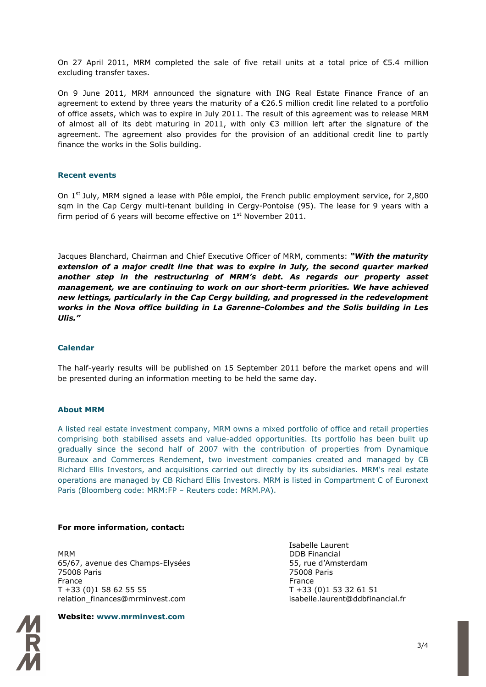On 27 April 2011, MRM completed the sale of five retail units at a total price of  $\epsilon$ 5.4 million excluding transfer taxes.

On 9 June 2011, MRM announced the signature with ING Real Estate Finance France of an agreement to extend by three years the maturity of a €26.5 million credit line related to a portfolio of office assets, which was to expire in July 2011. The result of this agreement was to release MRM of almost all of its debt maturing in 2011, with only €3 million left after the signature of the agreement. The agreement also provides for the provision of an additional credit line to partly finance the works in the Solis building.

#### **Recent events**

On 1<sup>st</sup> July, MRM signed a lease with Pôle emploi, the French public employment service, for 2,800 sqm in the Cap Cergy multi-tenant building in Cergy-Pontoise (95). The lease for 9 years with a firm period of 6 years will become effective on  $1<sup>st</sup>$  November 2011.

Jacques Blanchard, Chairman and Chief Executive Officer of MRM, comments: *"With the maturity extension of a major credit line that was to expire in July, the second quarter marked another step in the restructuring of MRM's debt. As regards our property asset management, we are continuing to work on our short-term priorities. We have achieved new lettings, particularly in the Cap Cergy building, and progressed in the redevelopment works in the Nova office building in La Garenne-Colombes and the Solis building in Les Ulis."* 

#### **Calendar**

The half-yearly results will be published on 15 September 2011 before the market opens and will be presented during an information meeting to be held the same day.

#### **About MRM**

A listed real estate investment company, MRM owns a mixed portfolio of office and retail properties comprising both stabilised assets and value-added opportunities. Its portfolio has been built up gradually since the second half of 2007 with the contribution of properties from Dynamique Bureaux and Commerces Rendement, two investment companies created and managed by CB Richard Ellis Investors, and acquisitions carried out directly by its subsidiaries. MRM's real estate operations are managed by CB Richard Ellis Investors. MRM is listed in Compartment C of Euronext Paris (Bloomberg code: MRM:FP – Reuters code: MRM.PA).

#### **For more information, contact:**

MRM DDB Financial 65/67, avenue des Champs-Elysées 55, rue d'Amsterdam 75008 Paris 75008 Paris France **France France** T +33 (0)1 58 62 55 55 T +33 (0)1 53 32 61 51 relation\_finances@mrminvest.com isabelle.laurent@ddbfinancial.fr

Isabelle Laurent



**Website: www.mrminvest.com**